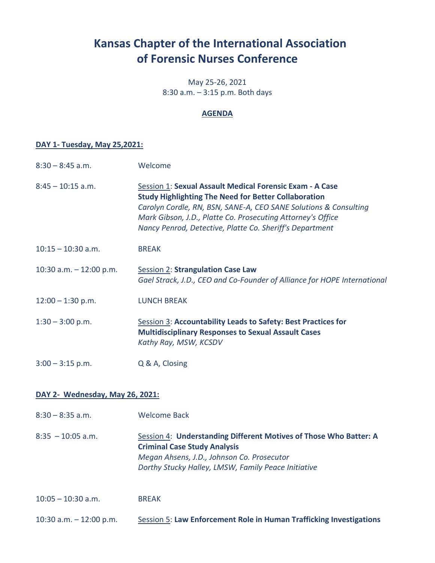# **Kansas Chapter of the International Association of Forensic Nurses Conference**

May 25-26, 2021 8:30 a.m. – 3:15 p.m. Both days

### **AGENDA**

### **DAY 1- Tuesday, May 25,2021:**

| $8:30 - 8:45$ a.m.              | Welcome                                                                                                                                                                                                                                                                                                                |
|---------------------------------|------------------------------------------------------------------------------------------------------------------------------------------------------------------------------------------------------------------------------------------------------------------------------------------------------------------------|
| $8:45 - 10:15$ a.m.             | Session 1: Sexual Assault Medical Forensic Exam - A Case<br><b>Study Highlighting The Need for Better Collaboration</b><br>Carolyn Cordle, RN, BSN, SANE-A, CEO SANE Solutions & Consulting<br>Mark Gibson, J.D., Platte Co. Prosecuting Attorney's Office<br>Nancy Penrod, Detective, Platte Co. Sheriff's Department |
| $10:15 - 10:30$ a.m.            | <b>BREAK</b>                                                                                                                                                                                                                                                                                                           |
| 10:30 a.m. $-$ 12:00 p.m.       | <b>Session 2: Strangulation Case Law</b><br>Gael Strack, J.D., CEO and Co-Founder of Alliance for HOPE International                                                                                                                                                                                                   |
| $12:00 - 1:30$ p.m.             | <b>LUNCH BREAK</b>                                                                                                                                                                                                                                                                                                     |
| $1:30 - 3:00$ p.m.              | <b>Session 3: Accountability Leads to Safety: Best Practices for</b><br><b>Multidisciplinary Responses to Sexual Assault Cases</b><br>Kathy Ray, MSW, KCSDV                                                                                                                                                            |
| $3:00 - 3:15$ p.m.              | Q & A, Closing                                                                                                                                                                                                                                                                                                         |
| DAY 2- Wednesday, May 26, 2021: |                                                                                                                                                                                                                                                                                                                        |

#### 8:30 – 8:35 a.m. Welcome Back

8:35 – 10:05 a.m. Session 4: **Understanding Different Motives of Those Who Batter: A Criminal Case Study Analysis** *Megan Ahsens, J.D., Johnson Co. Prosecutor Dorthy Stucky Halley, LMSW, Family Peace Initiative*

10:05 – 10:30 a.m. BREAK

10:30 a.m. – 12:00 p.m. Session 5: **Law Enforcement Role in Human Trafficking Investigations**